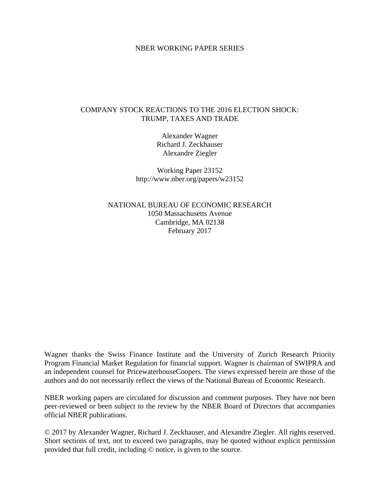### NBER WORKING PAPER SERIES

## COMPANY STOCK REACTIONS TO THE 2016 ELECTION SHOCK: TRUMP, TAXES AND TRADE

Alexander Wagner Richard J. Zeckhauser Alexandre Ziegler

Working Paper 23152 http://www.nber.org/papers/w23152

NATIONAL BUREAU OF ECONOMIC RESEARCH 1050 Massachusetts Avenue Cambridge, MA 02138 February 2017

Wagner thanks the Swiss Finance Institute and the University of Zurich Research Priority Program Financial Market Regulation for financial support. Wagner is chairman of SWIPRA and an independent counsel for PricewaterhouseCoopers. The views expressed herein are those of the authors and do not necessarily reflect the views of the National Bureau of Economic Research.

NBER working papers are circulated for discussion and comment purposes. They have not been peer-reviewed or been subject to the review by the NBER Board of Directors that accompanies official NBER publications.

© 2017 by Alexander Wagner, Richard J. Zeckhauser, and Alexandre Ziegler. All rights reserved. Short sections of text, not to exceed two paragraphs, may be quoted without explicit permission provided that full credit, including © notice, is given to the source.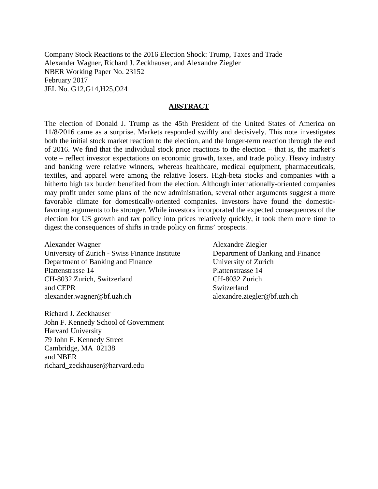Company Stock Reactions to the 2016 Election Shock: Trump, Taxes and Trade Alexander Wagner, Richard J. Zeckhauser, and Alexandre Ziegler NBER Working Paper No. 23152 February 2017 JEL No. G12,G14,H25,O24

### **ABSTRACT**

The election of Donald J. Trump as the 45th President of the United States of America on 11/8/2016 came as a surprise. Markets responded swiftly and decisively. This note investigates both the initial stock market reaction to the election, and the longer-term reaction through the end of 2016. We find that the individual stock price reactions to the election – that is, the market's vote – reflect investor expectations on economic growth, taxes, and trade policy. Heavy industry and banking were relative winners, whereas healthcare, medical equipment, pharmaceuticals, textiles, and apparel were among the relative losers. High-beta stocks and companies with a hitherto high tax burden benefited from the election. Although internationally-oriented companies may profit under some plans of the new administration, several other arguments suggest a more favorable climate for domestically-oriented companies. Investors have found the domesticfavoring arguments to be stronger. While investors incorporated the expected consequences of the election for US growth and tax policy into prices relatively quickly, it took them more time to digest the consequences of shifts in trade policy on firms' prospects.

Alexander Wagner University of Zurich - Swiss Finance Institute Department of Banking and Finance Plattenstrasse 14 CH-8032 Zurich, Switzerland and CEPR alexander.wagner@bf.uzh.ch

Richard J. Zeckhauser John F. Kennedy School of Government Harvard University 79 John F. Kennedy Street Cambridge, MA 02138 and NBER richard\_zeckhauser@harvard.edu

Alexandre Ziegler Department of Banking and Finance University of Zurich Plattenstrasse 14 CH-8032 Zurich Switzerland alexandre.ziegler@bf.uzh.ch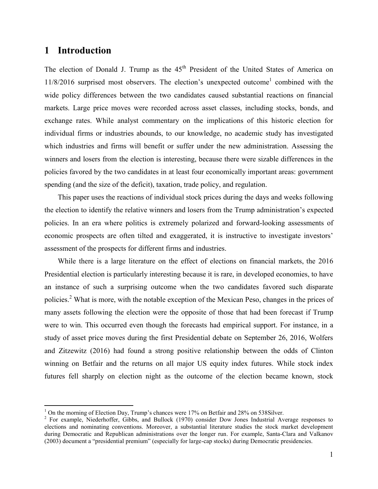# **1 Introduction**

 $\overline{a}$ 

The election of Donald J. Trump as the  $45<sup>th</sup>$  President of the United States of America on  $11/8/2016$  surprised most observers. The election's unexpected outcome<sup>1</sup> combined with the wide policy differences between the two candidates caused substantial reactions on financial markets. Large price moves were recorded across asset classes, including stocks, bonds, and exchange rates. While analyst commentary on the implications of this historic election for individual firms or industries abounds, to our knowledge, no academic study has investigated which industries and firms will benefit or suffer under the new administration. Assessing the winners and losers from the election is interesting, because there were sizable differences in the policies favored by the two candidates in at least four economically important areas: government spending (and the size of the deficit), taxation, trade policy, and regulation.

This paper uses the reactions of individual stock prices during the days and weeks following the election to identify the relative winners and losers from the Trump administration's expected policies. In an era where politics is extremely polarized and forward-looking assessments of economic prospects are often tilted and exaggerated, it is instructive to investigate investors' assessment of the prospects for different firms and industries.

While there is a large literature on the effect of elections on financial markets, the 2016 Presidential election is particularly interesting because it is rare, in developed economies, to have an instance of such a surprising outcome when the two candidates favored such disparate policies.<sup>2</sup> What is more, with the notable exception of the Mexican Peso, changes in the prices of many assets following the election were the opposite of those that had been forecast if Trump were to win. This occurred even though the forecasts had empirical support. For instance, in a study of asset price moves during the first Presidential debate on September 26, 2016, Wolfers and Zitzewitz (2016) had found a strong positive relationship between the odds of Clinton winning on Betfair and the returns on all major US equity index futures. While stock index futures fell sharply on election night as the outcome of the election became known, stock

 $1$  On the morning of Election Day, Trump's chances were 17% on Betfair and 28% on 538Silver.

 $2$  For example, Niederhoffer, Gibbs, and Bullock (1970) consider Dow Jones Industrial Average responses to elections and nominating conventions. Moreover, a substantial literature studies the stock market development during Democratic and Republican administrations over the longer run. For example, Santa-Clara and Valkanov (2003) document a "presidential premium" (especially for large-cap stocks) during Democratic presidencies.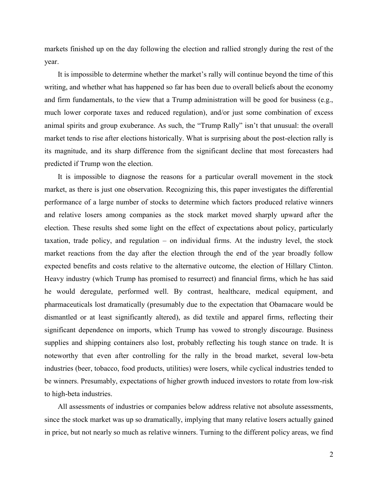markets finished up on the day following the election and rallied strongly during the rest of the year.

It is impossible to determine whether the market's rally will continue beyond the time of this writing, and whether what has happened so far has been due to overall beliefs about the economy and firm fundamentals, to the view that a Trump administration will be good for business (e.g., much lower corporate taxes and reduced regulation), and/or just some combination of excess animal spirits and group exuberance. As such, the "Trump Rally" isn't that unusual: the overall market tends to rise after elections historically. What is surprising about the post-election rally is its magnitude, and its sharp difference from the significant decline that most forecasters had predicted if Trump won the election.

It is impossible to diagnose the reasons for a particular overall movement in the stock market, as there is just one observation. Recognizing this, this paper investigates the differential performance of a large number of stocks to determine which factors produced relative winners and relative losers among companies as the stock market moved sharply upward after the election. These results shed some light on the effect of expectations about policy, particularly taxation, trade policy, and regulation – on individual firms. At the industry level, the stock market reactions from the day after the election through the end of the year broadly follow expected benefits and costs relative to the alternative outcome, the election of Hillary Clinton. Heavy industry (which Trump has promised to resurrect) and financial firms, which he has said he would deregulate, performed well. By contrast, healthcare, medical equipment, and pharmaceuticals lost dramatically (presumably due to the expectation that Obamacare would be dismantled or at least significantly altered), as did textile and apparel firms, reflecting their significant dependence on imports, which Trump has vowed to strongly discourage. Business supplies and shipping containers also lost, probably reflecting his tough stance on trade. It is noteworthy that even after controlling for the rally in the broad market, several low-beta industries (beer, tobacco, food products, utilities) were losers, while cyclical industries tended to be winners. Presumably, expectations of higher growth induced investors to rotate from low-risk to high-beta industries.

All assessments of industries or companies below address relative not absolute assessments, since the stock market was up so dramatically, implying that many relative losers actually gained in price, but not nearly so much as relative winners. Turning to the different policy areas, we find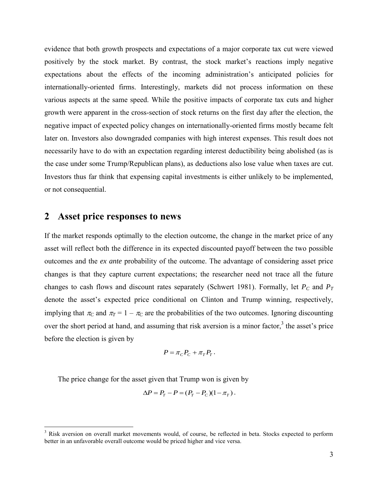evidence that both growth prospects and expectations of a major corporate tax cut were viewed positively by the stock market. By contrast, the stock market's reactions imply negative expectations about the effects of the incoming administration's anticipated policies for internationally-oriented firms. Interestingly, markets did not process information on these various aspects at the same speed. While the positive impacts of corporate tax cuts and higher growth were apparent in the cross-section of stock returns on the first day after the election, the negative impact of expected policy changes on internationally-oriented firms mostly became felt later on. Investors also downgraded companies with high interest expenses. This result does not necessarily have to do with an expectation regarding interest deductibility being abolished (as is the case under some Trump/Republican plans), as deductions also lose value when taxes are cut. Investors thus far think that expensing capital investments is either unlikely to be implemented, or not consequential.

# **2 Asset price responses to news**

If the market responds optimally to the election outcome, the change in the market price of any asset will reflect both the difference in its expected discounted payoff between the two possible outcomes and the *ex ante* probability of the outcome. The advantage of considering asset price changes is that they capture current expectations; the researcher need not trace all the future changes to cash flows and discount rates separately (Schwert 1981). Formally, let *PC* and *P<sup>T</sup>* denote the asset's expected price conditional on Clinton and Trump winning, respectively, implying that  $\pi_c$  and  $\pi_T = 1 - \pi_c$  are the probabilities of the two outcomes. Ignoring discounting over the short period at hand, and assuming that risk aversion is a minor factor,<sup>3</sup> the asset's price before the election is given by

$$
P = \pi_C P_C + \pi_T P_T.
$$

The price change for the asset given that Trump won is given by

$$
\Delta P = P_T - P = (P_T - P_C)(1 - \pi_T).
$$

<sup>&</sup>lt;sup>3</sup> Risk aversion on overall market movements would, of course, be reflected in beta. Stocks expected to perform better in an unfavorable overall outcome would be priced higher and vice versa.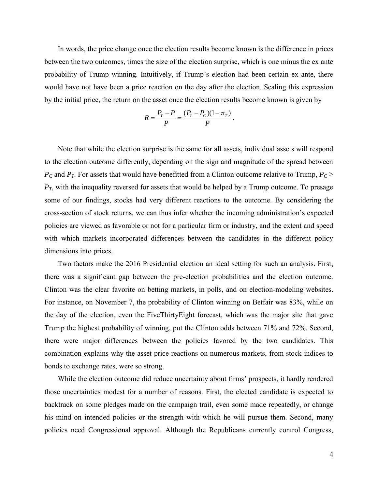In words, the price change once the election results become known is the difference in prices between the two outcomes, times the size of the election surprise, which is one minus the ex ante probability of Trump winning. Intuitively, if Trump's election had been certain ex ante, there would have not have been a price reaction on the day after the election. Scaling this expression by the initial price, the return on the asset once the election results become known is given by

$$
R = \frac{P_T - P}{P} = \frac{(P_T - P_C)(1 - \pi_T)}{P}.
$$

Note that while the election surprise is the same for all assets, individual assets will respond to the election outcome differently, depending on the sign and magnitude of the spread between  $P_c$  and  $P_T$ . For assets that would have benefitted from a Clinton outcome relative to Trump,  $P_c$  >  $P_T$ , with the inequality reversed for assets that would be helped by a Trump outcome. To presage some of our findings, stocks had very different reactions to the outcome. By considering the cross-section of stock returns, we can thus infer whether the incoming administration's expected policies are viewed as favorable or not for a particular firm or industry, and the extent and speed with which markets incorporated differences between the candidates in the different policy dimensions into prices.

Two factors make the 2016 Presidential election an ideal setting for such an analysis. First, there was a significant gap between the pre-election probabilities and the election outcome. Clinton was the clear favorite on betting markets, in polls, and on election-modeling websites. For instance, on November 7, the probability of Clinton winning on Betfair was 83%, while on the day of the election, even the FiveThirtyEight forecast, which was the major site that gave Trump the highest probability of winning, put the Clinton odds between 71% and 72%. Second, there were major differences between the policies favored by the two candidates. This combination explains why the asset price reactions on numerous markets, from stock indices to bonds to exchange rates, were so strong.

While the election outcome did reduce uncertainty about firms' prospects, it hardly rendered those uncertainties modest for a number of reasons. First, the elected candidate is expected to backtrack on some pledges made on the campaign trail, even some made repeatedly, or change his mind on intended policies or the strength with which he will pursue them. Second, many policies need Congressional approval. Although the Republicans currently control Congress,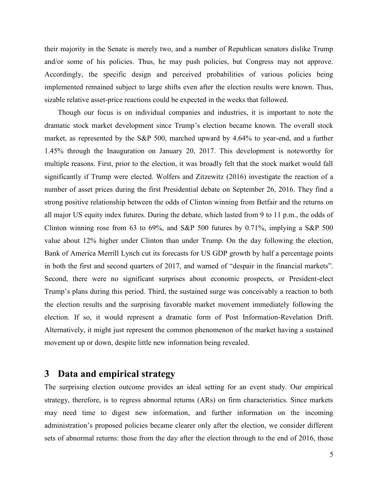their majority in the Senate is merely two, and a number of Republican senators dislike Trump and/or some of his policies. Thus, he may push policies, but Congress may not approve. Accordingly, the specific design and perceived probabilities of various policies being implemented remained subject to large shifts even after the election results were known. Thus, sizable relative asset-price reactions could be expected in the weeks that followed.

Though our focus is on individual companies and industries, it is important to note the dramatic stock market development since Trump's election became known. The overall stock market, as represented by the S&P 500, marched upward by 4.64% to year-end, and a further 1.45% through the Inauguration on January 20, 2017. This development is noteworthy for multiple reasons. First, prior to the election, it was broadly felt that the stock market would fall significantly if Trump were elected. Wolfers and Zitzewitz (2016) investigate the reaction of a number of asset prices during the first Presidential debate on September 26, 2016. They find a strong positive relationship between the odds of Clinton winning from Betfair and the returns on all major US equity index futures. During the debate, which lasted from 9 to 11 p.m., the odds of Clinton winning rose from 63 to 69%, and S&P 500 futures by 0.71%, implying a S&P 500 value about 12% higher under Clinton than under Trump. On the day following the election, Bank of America Merrill Lynch cut its forecasts for US GDP growth by half a percentage points in both the first and second quarters of 2017, and warned of "despair in the financial markets". Second, there were no significant surprises about economic prospects, or President-elect Trump's plans during this period. Third, the sustained surge was conceivably a reaction to both the election results and the surprising favorable market movement immediately following the election. If so, it would represent a dramatic form of Post Information-Revelation Drift. Alternatively, it might just represent the common phenomenon of the market having a sustained movement up or down, despite little new information being revealed.

# **3 Data and empirical strategy**

The surprising election outcome provides an ideal setting for an event study. Our empirical strategy, therefore, is to regress abnormal returns (ARs) on firm characteristics. Since markets may need time to digest new information, and further information on the incoming administration's proposed policies became clearer only after the election, we consider different sets of abnormal returns: those from the day after the election through to the end of 2016, those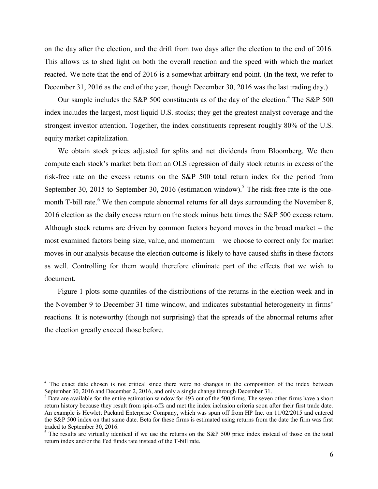on the day after the election, and the drift from two days after the election to the end of 2016. This allows us to shed light on both the overall reaction and the speed with which the market reacted. We note that the end of 2016 is a somewhat arbitrary end point. (In the text, we refer to December 31, 2016 as the end of the year, though December 30, 2016 was the last trading day.)

Our sample includes the S&P 500 constituents as of the day of the election.<sup>4</sup> The S&P 500 index includes the largest, most liquid U.S. stocks; they get the greatest analyst coverage and the strongest investor attention. Together, the index constituents represent roughly 80% of the U.S. equity market capitalization.

We obtain stock prices adjusted for splits and net dividends from Bloomberg. We then compute each stock's market beta from an OLS regression of daily stock returns in excess of the risk-free rate on the excess returns on the S&P 500 total return index for the period from September 30, 2015 to September 30, 2016 (estimation window).<sup>5</sup> The risk-free rate is the onemonth T-bill rate.<sup>6</sup> We then compute abnormal returns for all days surrounding the November 8, 2016 election as the daily excess return on the stock minus beta times the S&P 500 excess return. Although stock returns are driven by common factors beyond moves in the broad market – the most examined factors being size, value, and momentum – we choose to correct only for market moves in our analysis because the election outcome is likely to have caused shifts in these factors as well. Controlling for them would therefore eliminate part of the effects that we wish to document.

Figure 1 plots some quantiles of the distributions of the returns in the election week and in the November 9 to December 31 time window, and indicates substantial heterogeneity in firms' reactions. It is noteworthy (though not surprising) that the spreads of the abnormal returns after the election greatly exceed those before.

<sup>&</sup>lt;sup>4</sup> The exact date chosen is not critical since there were no changes in the composition of the index between September 30, 2016 and December 2, 2016, and only a single change through December 31.

 $<sup>5</sup>$  Data are available for the entire estimation window for 493 out of the 500 firms. The seven other firms have a short</sup> return history because they result from spin-offs and met the index inclusion criteria soon after their first trade date. An example is Hewlett Packard Enterprise Company, which was spun off from HP Inc. on 11/02/2015 and entered the S&P 500 index on that same date. Beta for these firms is estimated using returns from the date the firm was first traded to September 30, 2016.

 $6$  The results are virtually identical if we use the returns on the S&P 500 price index instead of those on the total return index and/or the Fed funds rate instead of the T-bill rate.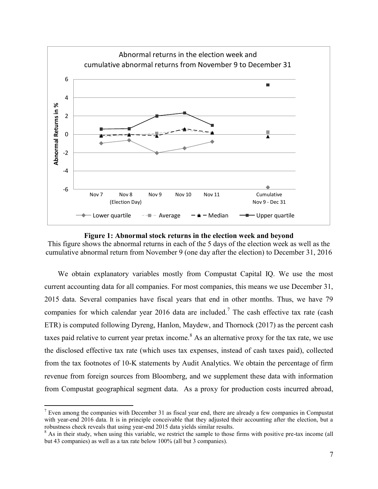

**Figure 1: Abnormal stock returns in the election week and beyond** 

This figure shows the abnormal returns in each of the 5 days of the election week as well as the cumulative abnormal return from November 9 (one day after the election) to December 31, 2016

We obtain explanatory variables mostly from Compustat Capital IQ. We use the most current accounting data for all companies. For most companies, this means we use December 31, 2015 data. Several companies have fiscal years that end in other months. Thus, we have 79 companies for which calendar year 2016 data are included.<sup>7</sup> The cash effective tax rate (cash ETR) is computed following Dyreng, Hanlon, Maydew, and Thornock (2017) as the percent cash taxes paid relative to current year pretax income.<sup>8</sup> As an alternative proxy for the tax rate, we use the disclosed effective tax rate (which uses tax expenses, instead of cash taxes paid), collected from the tax footnotes of 10-K statements by Audit Analytics. We obtain the percentage of firm revenue from foreign sources from Bloomberg, and we supplement these data with information from Compustat geographical segment data. As a proxy for production costs incurred abroad,

<sup>&</sup>lt;sup>7</sup> Even among the companies with December 31 as fiscal year end, there are already a few companies in Compustat with year-end 2016 data. It is in principle conceivable that they adjusted their accounting after the election, but a robustness check reveals that using year-end 2015 data yields similar results.

 $8$  As in their study, when using this variable, we restrict the sample to those firms with positive pre-tax income (all but 43 companies) as well as a tax rate below 100% (all but 3 companies).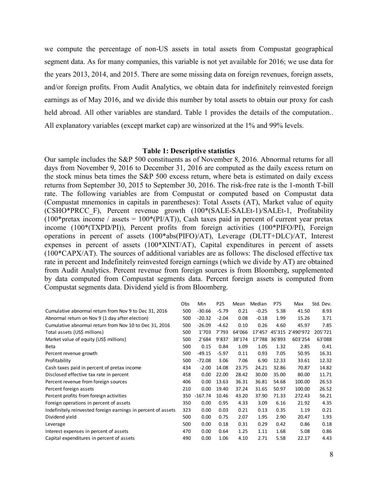we compute the percentage of non-US assets in total assets from Compustat geographical segment data. As for many companies, this variable is not yet available for 2016; we use data for the years 2013, 2014, and 2015. There are some missing data on foreign revenues, foreign assets, and/or foreign profits. From Audit Analytics, we obtain data for indefinitely reinvested foreign earnings as of May 2016, and we divide this number by total assets to obtain our proxy for cash held abroad. All other variables are standard. Table 1 provides the details of the computation.. All explanatory variables (except market cap) are winsorized at the 1% and 99% levels.

#### **Table 1: Descriptive statistics**

Our sample includes the S&P 500 constituents as of November 8, 2016. Abnormal returns for all days from November 9, 2016 to December 31, 2016 are computed as the daily excess return on the stock minus beta times the S&P 500 excess return, where beta is estimated on daily excess returns from September 30, 2015 to September 30, 2016. The risk-free rate is the 1-month T-bill rate. The following variables are from Compustat or computed based on Compustat data (Compustat mnemonics in capitals in parentheses): Total Assets (AT), Market value of equity (CSHO\*PRCC\_F), Percent revenue growth (100\*(SALE-SALEt-1)/SALEt-1, Profitability (100\*pretax income / assets =  $100*(PI/AT)$ ), Cash taxes paid in percent of current year pretax income (100\*(TXPD/PI)), Percent profits from foreign activities (100\*PIFO/PI), Foreign operations in percent of assets (100\*abs(PIFO)/AT), Leverage (DLTT+DLC)/AT, Interest expenses in percent of assets (100\*XINT/AT), Capital expenditures in percent of assets (100\*CAPX/AT). The sources of additional variables are as follows: The disclosed effective tax rate in percent and Indefinitely reinvested foreign earnings (which we divide by AT) are obtained from Audit Analytics. Percent revenue from foreign sources is from Bloomberg, supplemented by data computed from Compustat segments data. Percent foreign assets is computed from Compustat segments data. Dividend yield is from Bloomberg. Toreign sources is from Bloomberg, supplemented<br>ts data. Percent foreign assets is computed from<br>Obs Min P25 Mean Median P75 Max Std. Dev.<br>500 -30.66 -5.79 0.21 -0.25 5.38 41.50 8.93

| by data computed from Compustat segments data. Percent foreign assets is computed from |     |           |         |        |             |        |                  |           |
|----------------------------------------------------------------------------------------|-----|-----------|---------|--------|-------------|--------|------------------|-----------|
| Compustat segments data. Dividend yield is from Bloomberg.                             |     |           |         |        |             |        |                  |           |
|                                                                                        | Obs | Min       | P25     |        | Mean Median | P75    | Max              | Std. Dev. |
| Cumulative abnormal return from Nov 9 to Dec 31, 2016                                  | 500 | $-30.66$  | $-5.79$ | 0.21   | $-0.25$     | 5.38   | 41.50            | 8.93      |
| Abnormal return on Nov 9 (1 day after election)                                        | 500 | $-20.32$  | $-2.04$ | 0.08   | $-0.18$     | 1.99   | 15.26            | 3.71      |
| Cumulative abnormal return from Nov 10 to Dec 31, 2016                                 | 500 | $-26.09$  | $-4.62$ | 0.10   | 0.26        | 4.60   | 45.97            | 7.85      |
| Total assets (US\$ millions)                                                           | 500 | 1'703     | 7'793   | 64'066 | 17'457      |        | 45'315 2'490'972 | 205'721   |
| Market value of equity (US\$ millions)                                                 | 500 | 2'684     | 9'837   | 38'174 | 17'788      | 36'893 | 603'254          | 63'088    |
| Beta                                                                                   | 500 | 0.15      | 0.84    | 1.09   | 1.05        | 1.32   | 2.85             | 0.41      |
| Percent revenue growth                                                                 | 500 | $-49.15$  | $-5.97$ | 0.11   | 0.93        | 7.05   | 50.95            | 16.31     |
| Profitability                                                                          | 500 | $-72.08$  | 3.06    | 7.06   | 6.90        | 12.33  | 33.61            | 12.32     |
| Cash taxes paid in percent of pretax income                                            | 434 | $-2.00$   | 14.08   | 23.75  | 24.21       | 32.86  | 70.87            | 14.82     |
| Disclosed effective tax rate in percent                                                | 458 | 0.00      | 22.00   | 28.42  | 30.00       | 35.00  | 80.00            | 11.71     |
| Percent revenue from foreign sources                                                   | 406 | 0.00      | 13.63   | 36.31  | 36.81       | 54.68  | 100.00           | 26.53     |
| Percent foreign assets                                                                 | 210 | 0.00      | 19.40   | 37.24  | 31.65       | 50.97  | 100.00           | 26.52     |
| Percent profits from foreign activities                                                | 350 | $-167.74$ | 10.46   | 43.20  | 37.90       | 71.33  | 272.43           | 56.21     |
| Foreign operations in percent of assets                                                | 350 | 0.00      | 0.95    | 4.33   | 3.09        | 6.16   | 21.92            | 4.35      |
| Indefinitely reinvested foreign earnings in percent of assets                          | 323 | 0.00      | 0.03    | 0.21   | 0.13        | 0.35   | 1.19             | 0.21      |
| Dividend yield                                                                         | 500 | 0.00      | 0.75    | 2.07   | 1.95        | 2.90   | 20.47            | 1.93      |
| Leverage                                                                               | 500 | 0.00      | 0.18    | 0.31   | 0.29        | 0.42   | 0.86             | 0.18      |
| Interest expenses in percent of assets                                                 | 470 | 0.00      | 0.64    | 1.25   | 1.11        | 1.68   | 5.08             | 0.86      |
| Capital expenditures in percent of assets                                              | 490 | 0.00      | 1.06    | 4.10   | 2.71        | 5.58   | 22.17            | 4.43      |
|                                                                                        |     |           |         |        |             |        |                  |           |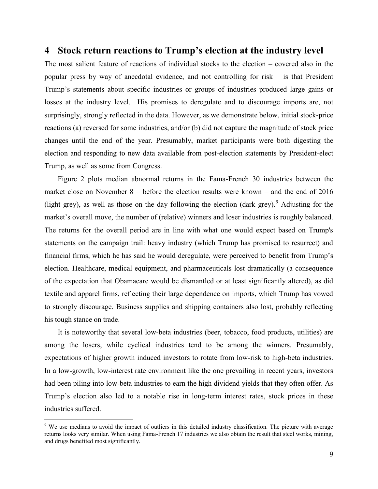## **4 Stock return reactions to Trump's election at the industry level**

The most salient feature of reactions of individual stocks to the election – covered also in the popular press by way of anecdotal evidence, and not controlling for risk – is that President Trump's statements about specific industries or groups of industries produced large gains or losses at the industry level. His promises to deregulate and to discourage imports are, not surprisingly, strongly reflected in the data. However, as we demonstrate below, initial stock-price reactions (a) reversed for some industries, and/or (b) did not capture the magnitude of stock price changes until the end of the year. Presumably, market participants were both digesting the election and responding to new data available from post-election statements by President-elect Trump, as well as some from Congress.

Figure 2 plots median abnormal returns in the Fama-French 30 industries between the market close on November 8 – before the election results were known – and the end of 2016 (light grey), as well as those on the day following the election (dark grey). Adjusting for the market's overall move, the number of (relative) winners and loser industries is roughly balanced. The returns for the overall period are in line with what one would expect based on Trump's statements on the campaign trail: heavy industry (which Trump has promised to resurrect) and financial firms, which he has said he would deregulate, were perceived to benefit from Trump's election. Healthcare, medical equipment, and pharmaceuticals lost dramatically (a consequence of the expectation that Obamacare would be dismantled or at least significantly altered), as did textile and apparel firms, reflecting their large dependence on imports, which Trump has vowed to strongly discourage. Business supplies and shipping containers also lost, probably reflecting his tough stance on trade.

It is noteworthy that several low-beta industries (beer, tobacco, food products, utilities) are among the losers, while cyclical industries tend to be among the winners. Presumably, expectations of higher growth induced investors to rotate from low-risk to high-beta industries. In a low-growth, low-interest rate environment like the one prevailing in recent years, investors had been piling into low-beta industries to earn the high dividend yields that they often offer. As Trump's election also led to a notable rise in long-term interest rates, stock prices in these industries suffered.

<sup>&</sup>lt;sup>9</sup> We use medians to avoid the impact of outliers in this detailed industry classification. The picture with average returns looks very similar. When using Fama-French 17 industries we also obtain the result that steel works, mining, and drugs benefited most significantly.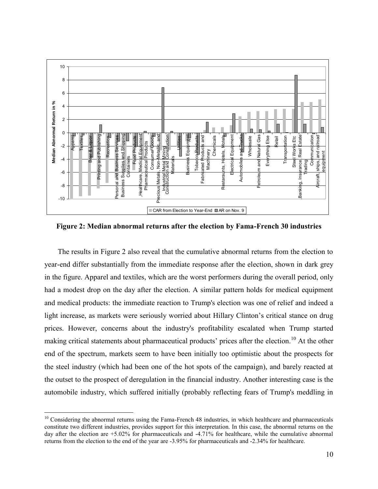

**Figure 2: Median abnormal returns after the election by Fama-French 30 industries** 

The results in Figure 2 also reveal that the cumulative abnormal returns from the election to year-end differ substantially from the immediate response after the election, shown in dark grey in the figure. Apparel and textiles, which are the worst performers during the overall period, only had a modest drop on the day after the election. A similar pattern holds for medical equipment and medical products: the immediate reaction to Trump's election was one of relief and indeed a light increase, as markets were seriously worried about Hillary Clinton's critical stance on drug prices. However, concerns about the industry's profitability escalated when Trump started making critical statements about pharmaceutical products' prices after the election.<sup>10</sup> At the other end of the spectrum, markets seem to have been initially too optimistic about the prospects for the steel industry (which had been one of the hot spots of the campaign), and barely reacted at the outset to the prospect of deregulation in the financial industry. Another interesting case is the automobile industry, which suffered initially (probably reflecting fears of Trump's meddling in

 $10$  Considering the abnormal returns using the Fama-French 48 industries, in which healthcare and pharmaceuticals constitute two different industries, provides support for this interpretation. In this case, the abnormal returns on the day after the election are +5.02% for pharmaceuticals and -4.71% for healthcare, while the cumulative abnormal returns from the election to the end of the year are -3.95% for pharmaceuticals and -2.34% for healthcare.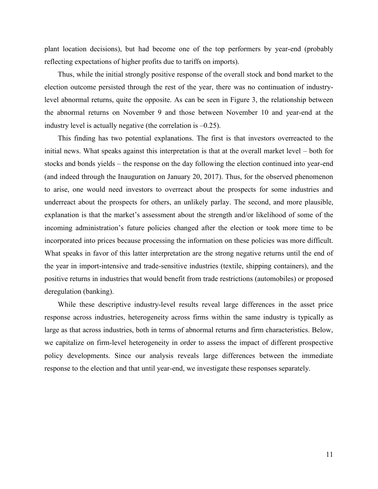plant location decisions), but had become one of the top performers by year-end (probably reflecting expectations of higher profits due to tariffs on imports).

Thus, while the initial strongly positive response of the overall stock and bond market to the election outcome persisted through the rest of the year, there was no continuation of industrylevel abnormal returns, quite the opposite. As can be seen in Figure 3, the relationship between the abnormal returns on November 9 and those between November 10 and year-end at the industry level is actually negative (the correlation is –0.25).

This finding has two potential explanations. The first is that investors overreacted to the initial news. What speaks against this interpretation is that at the overall market level – both for stocks and bonds yields – the response on the day following the election continued into year-end (and indeed through the Inauguration on January 20, 2017). Thus, for the observed phenomenon to arise, one would need investors to overreact about the prospects for some industries and underreact about the prospects for others, an unlikely parlay. The second, and more plausible, explanation is that the market's assessment about the strength and/or likelihood of some of the incoming administration's future policies changed after the election or took more time to be incorporated into prices because processing the information on these policies was more difficult. What speaks in favor of this latter interpretation are the strong negative returns until the end of the year in import-intensive and trade-sensitive industries (textile, shipping containers), and the positive returns in industries that would benefit from trade restrictions (automobiles) or proposed deregulation (banking).

While these descriptive industry-level results reveal large differences in the asset price response across industries, heterogeneity across firms within the same industry is typically as large as that across industries, both in terms of abnormal returns and firm characteristics. Below, we capitalize on firm-level heterogeneity in order to assess the impact of different prospective policy developments. Since our analysis reveals large differences between the immediate response to the election and that until year-end, we investigate these responses separately.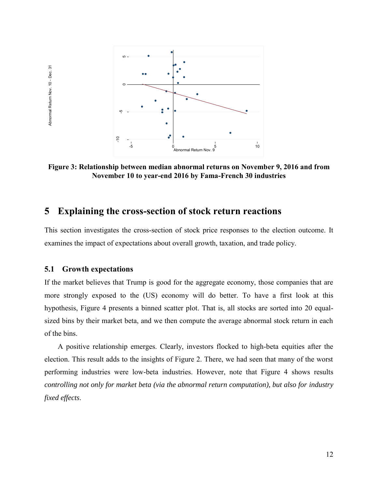

**Figure 3: Relationship between median abnormal returns on November 9, 2016 and from November 10 to year-end 2016 by Fama-French 30 industries** 

# **5 Explaining the cross-section of stock return reactions**

This section investigates the cross-section of stock price responses to the election outcome. It examines the impact of expectations about overall growth, taxation, and trade policy.

### **5.1 Growth expectations**

Abnormal Return Nov. 10 - Dec. 31

Abnormal Return Nov. 10 - Dec. 31

If the market believes that Trump is good for the aggregate economy, those companies that are more strongly exposed to the (US) economy will do better. To have a first look at this hypothesis, Figure 4 presents a binned scatter plot. That is, all stocks are sorted into 20 equalsized bins by their market beta, and we then compute the average abnormal stock return in each of the bins.

A positive relationship emerges. Clearly, investors flocked to high-beta equities after the election. This result adds to the insights of Figure 2. There, we had seen that many of the worst performing industries were low-beta industries. However, note that Figure 4 shows results *controlling not only for market beta (via the abnormal return computation), but also for industry fixed effects*.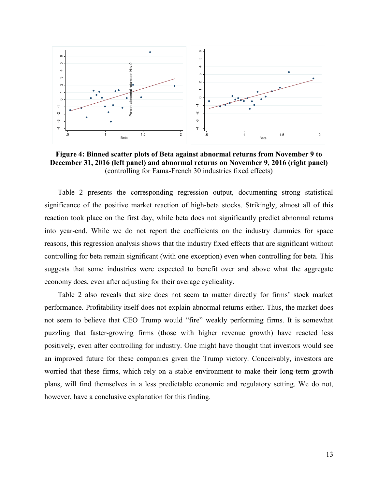

**Figure 4: Binned scatter plots of Beta against abnormal returns from November 9 to December 31, 2016 (left panel) and abnormal returns on November 9, 2016 (right panel)**  (controlling for Fama-French 30 industries fixed effects)

Table 2 presents the corresponding regression output, documenting strong statistical significance of the positive market reaction of high-beta stocks. Strikingly, almost all of this reaction took place on the first day, while beta does not significantly predict abnormal returns into year-end. While we do not report the coefficients on the industry dummies for space reasons, this regression analysis shows that the industry fixed effects that are significant without controlling for beta remain significant (with one exception) even when controlling for beta. This suggests that some industries were expected to benefit over and above what the aggregate economy does, even after adjusting for their average cyclicality.

Table 2 also reveals that size does not seem to matter directly for firms' stock market performance. Profitability itself does not explain abnormal returns either. Thus, the market does not seem to believe that CEO Trump would "fire" weakly performing firms. It is somewhat puzzling that faster-growing firms (those with higher revenue growth) have reacted less positively, even after controlling for industry. One might have thought that investors would see an improved future for these companies given the Trump victory. Conceivably, investors are worried that these firms, which rely on a stable environment to make their long-term growth plans, will find themselves in a less predictable economic and regulatory setting. We do not, however, have a conclusive explanation for this finding.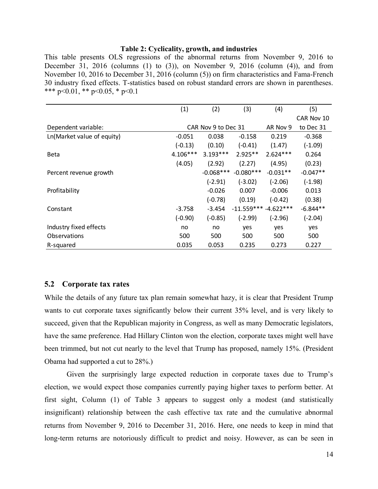#### **Table 2: Cyclicality, growth, and industries**

This table presents OLS regressions of the abnormal returns from November 9, 2016 to December 31, 2016 (columns (1) to (3)), on November 9, 2016 (column (4)), and from November 10, 2016 to December 31, 2016 (column (5)) on firm characteristics and Fama-French \*\*\* p<0.01, \*\* p<0.05, \* p<0.1

|                            | (1)       | (2)                 | (3)                   | (4)        | (5)        |
|----------------------------|-----------|---------------------|-----------------------|------------|------------|
|                            |           |                     |                       |            | CAR Nov 10 |
| Dependent variable:        |           | CAR Nov 9 to Dec 31 |                       | AR Nov 9   | to Dec 31  |
| Ln(Market value of equity) | $-0.051$  | 0.038               | $-0.158$              | 0.219      | $-0.368$   |
|                            | $(-0.13)$ | (0.10)              | $(-0.41)$             | (1.47)     | $(-1.09)$  |
| Beta                       | 4.106***  | $3.193***$          | $2.925**$             | $2.624***$ | 0.264      |
|                            | (4.05)    | (2.92)              | (2.27)                | (4.95)     | (0.23)     |
| Percent revenue growth     |           | $-0.068***$         | $-0.080***$           | $-0.031**$ | $-0.047**$ |
|                            |           | $(-2.91)$           | $(-3.02)$             | $(-2.06)$  | $(-1.98)$  |
| Profitability              |           | $-0.026$            | 0.007                 | $-0.006$   | 0.013      |
|                            |           | $(-0.78)$           | (0.19)                | $(-0.42)$  | (0.38)     |
| Constant                   | $-3.758$  | $-3.454$            | $-11.559***-4.622***$ |            | $-6.844**$ |
|                            | $(-0.90)$ | $(-0.85)$           | $(-2.99)$             | $(-2.96)$  | $(-2.04)$  |
| Industry fixed effects     | no        | no                  | yes                   | yes        | yes        |
| Observations               | 500       | 500                 | 500                   | 500        | 500        |
| R-squared                  | 0.035     | 0.053               | 0.235                 | 0.273      | 0.227      |

#### **5.2 Corporate tax rates**

While the details of any future tax plan remain somewhat hazy, it is clear that President Trump wants to cut corporate taxes significantly below their current 35% level, and is very likely to succeed, given that the Republican majority in Congress, as well as many Democratic legislators, have the same preference. Had Hillary Clinton won the election, corporate taxes might well have been trimmed, but not cut nearly to the level that Trump has proposed, namely 15%. (President Obama had supported a cut to 28%.)

Given the surprisingly large expected reduction in corporate taxes due to Trump's election, we would expect those companies currently paying higher taxes to perform better. At first sight, Column (1) of Table 3 appears to suggest only a modest (and statistically insignificant) relationship between the cash effective tax rate and the cumulative abnormal returns from November 9, 2016 to December 31, 2016. Here, one needs to keep in mind that long-term returns are notoriously difficult to predict and noisy. However, as can be seen in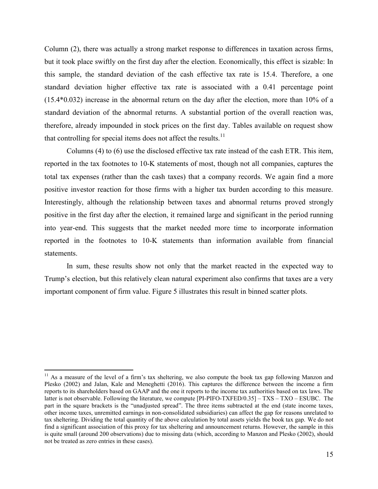Column (2), there was actually a strong market response to differences in taxation across firms, but it took place swiftly on the first day after the election. Economically, this effect is sizable: In this sample, the standard deviation of the cash effective tax rate is 15.4. Therefore, a one standard deviation higher effective tax rate is associated with a 0.41 percentage point (15.4\*0.032) increase in the abnormal return on the day after the election, more than 10% of a standard deviation of the abnormal returns. A substantial portion of the overall reaction was, therefore, already impounded in stock prices on the first day. Tables available on request show that controlling for special items does not affect the results.<sup>11</sup>

Columns (4) to (6) use the disclosed effective tax rate instead of the cash ETR. This item, reported in the tax footnotes to 10-K statements of most, though not all companies, captures the total tax expenses (rather than the cash taxes) that a company records. We again find a more positive investor reaction for those firms with a higher tax burden according to this measure. Interestingly, although the relationship between taxes and abnormal returns proved strongly positive in the first day after the election, it remained large and significant in the period running into year-end. This suggests that the market needed more time to incorporate information reported in the footnotes to 10-K statements than information available from financial statements.

In sum, these results show not only that the market reacted in the expected way to Trump's election, but this relatively clean natural experiment also confirms that taxes are a very important component of firm value. Figure 5 illustrates this result in binned scatter plots.

 $11$  As a measure of the level of a firm's tax sheltering, we also compute the book tax gap following Manzon and Plesko (2002) and Jalan, Kale and Meneghetti (2016). This captures the difference between the income a firm reports to its shareholders based on GAAP and the one it reports to the income tax authorities based on tax laws. The latter is not observable. Following the literature, we compute [PI-PIFO-TXFED/0.35] – TXS – TXO – ESUBC. The part in the square brackets is the "unadjusted spread". The three items subtracted at the end (state income taxes, other income taxes, unremitted earnings in non-consolidated subsidiaries) can affect the gap for reasons unrelated to tax sheltering. Dividing the total quantity of the above calculation by total assets yields the book tax gap. We do not find a significant association of this proxy for tax sheltering and announcement returns. However, the sample in this is quite small (around 200 observations) due to missing data (which, according to Manzon and Plesko (2002), should not be treated as zero entries in these cases).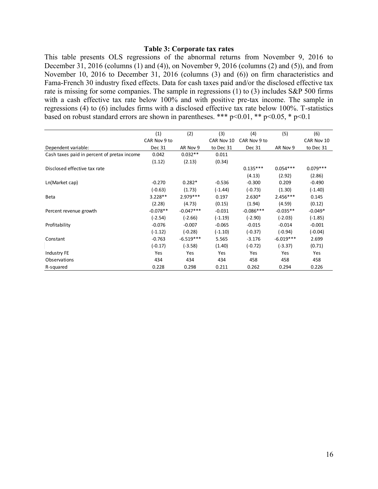## **Table 3: Corporate tax rates**

This table presents OLS regressions of the abnormal returns from November 9, 2016 to December 31, 2016 (columns (1) and (4)), on November 9, 2016 (columns (2) and (5)), and from November 10, 2016 to December 31, 2016 (columns (3) and (6)) on firm characteristics and Fama-French 30 industry fixed effects. Data for cash taxes paid and/or the disclosed effective tax rate is missing for some companies. The sample in regressions (1) to (3) includes S&P 500 firms with a cash effective tax rate below 100% and with positive pre-tax income. The sample in regressions (4) to (6) includes firms with a disclosed effective tax rate below 100%. T-statistics based on robust standard errors are shown in parentheses. \*\*\* p<0.01, \*\* p<0.05, \* p<0.1 (1) Thus, and with positive pre-tax income. The sample with a disclosed effective tax rate below 100%. T-station in parentheses. \*\*\*  $p<0.01$ , \*\*  $p<0.05$ , \*  $p<0.1$ <br>(1) (2) (3) (4) (5) (6) CAR Nov 9 to CAR Nov 9 to CAR N

|                                             | (1)          | (2)         | (3)        | (4)          | (5)         | (6)        |
|---------------------------------------------|--------------|-------------|------------|--------------|-------------|------------|
|                                             | CAR Nov 9 to |             | CAR Nov 10 | CAR Nov 9 to |             | CAR Nov 10 |
| Dependent variable:                         | Dec 31       | AR Nov 9    | to Dec 31  | Dec 31       | AR Nov 9    | to Dec 31  |
| Cash taxes paid in percent of pretax income | 0.042        | $0.032**$   | 0.011      |              |             |            |
|                                             | (1.12)       | (2.13)      | (0.34)     |              |             |            |
| Disclosed effective tax rate                |              |             |            | $0.135***$   | $0.054***$  | $0.079***$ |
|                                             |              |             |            | (4.13)       | (2.92)      | (2.86)     |
| Ln(Market cap)                              | $-0.270$     | $0.282*$    | $-0.536$   | $-0.300$     | 0.209       | $-0.490$   |
|                                             | $(-0.63)$    | (1.73)      | $(-1.44)$  | $(-0.73)$    | (1.30)      | $(-1.40)$  |
| Beta                                        | $3.228**$    | $2.979***$  | 0.197      | $2.630*$     | 2.456***    | 0.145      |
|                                             | (2.28)       | (4.73)      | (0.15)     | (1.94)       | (4.59)      | (0.12)     |
| Percent revenue growth                      | $-0.078**$   | $-0.047***$ | $-0.031$   | $-0.086***$  | $-0.035**$  | $-0.049*$  |
|                                             | $(-2.54)$    | $(-2.66)$   | $(-1.19)$  | $(-2.90)$    | $(-2.03)$   | $(-1.85)$  |
| Profitability                               | $-0.076$     | $-0.007$    | $-0.065$   | $-0.015$     | $-0.014$    | $-0.001$   |
|                                             | $(-1.12)$    | $(-0.28)$   | $(-1.10)$  | $(-0.37)$    | (-0.94)     | $(-0.04)$  |
| Constant                                    | $-0.763$     | $-6.519***$ | 5.565      | $-3.176$     | $-6.019***$ | 2.699      |
|                                             | $(-0.17)$    | $(-3.58)$   | (1.40)     | $(-0.72)$    | $(-3.37)$   | (0.71)     |
| Industry FE                                 | Yes          | Yes         | Yes        | Yes          | Yes         | Yes        |
| Observations                                | 434          | 434         | 434        | 458          | 458         | 458        |
| R-squared                                   | 0.228        | 0.298       | 0.211      | 0.262        | 0.294       | 0.226      |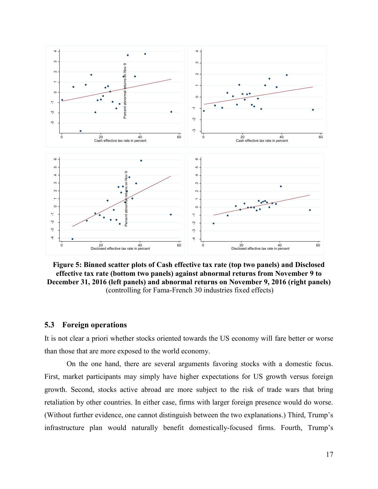

**Figure 5: Binned scatter plots of Cash effective tax rate (top two panels) and Disclosed effective tax rate (bottom two panels) against abnormal returns from November 9 to December 31, 2016 (left panels) and abnormal returns on November 9, 2016 (right panels)**  (controlling for Fama-French 30 industries fixed effects)

### **5.3 Foreign operations**

It is not clear a priori whether stocks oriented towards the US economy will fare better or worse than those that are more exposed to the world economy.

On the one hand, there are several arguments favoring stocks with a domestic focus. First, market participants may simply have higher expectations for US growth versus foreign growth. Second, stocks active abroad are more subject to the risk of trade wars that bring retaliation by other countries. In either case, firms with larger foreign presence would do worse. (Without further evidence, one cannot distinguish between the two explanations.) Third, Trump's infrastructure plan would naturally benefit domestically-focused firms. Fourth, Trump's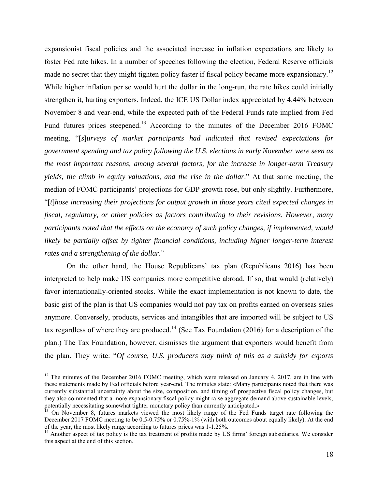expansionist fiscal policies and the associated increase in inflation expectations are likely to foster Fed rate hikes. In a number of speeches following the election, Federal Reserve officials made no secret that they might tighten policy faster if fiscal policy became more expansionary.<sup>12</sup> While higher inflation per se would hurt the dollar in the long-run, the rate hikes could initially strengthen it, hurting exporters. Indeed, the ICE US Dollar index appreciated by 4.44% between November 8 and year-end, while the expected path of the Federal Funds rate implied from Fed Fund futures prices steepened.<sup>13</sup> According to the minutes of the December 2016 FOMC meeting, "[*s*]*urveys of market participants had indicated that revised expectations for government spending and tax policy following the U.S. elections in early November were seen as the most important reasons, among several factors, for the increase in longer-term Treasury yields, the climb in equity valuations, and the rise in the dollar*." At that same meeting, the median of FOMC participants' projections for GDP growth rose, but only slightly. Furthermore, "[*t*]*hose increasing their projections for output growth in those years cited expected changes in fiscal, regulatory, or other policies as factors contributing to their revisions. However, many participants noted that the effects on the economy of such policy changes, if implemented, would likely be partially offset by tighter financial conditions, including higher longer-term interest rates and a strengthening of the dollar*."

On the other hand, the House Republicans' tax plan (Republicans 2016) has been interpreted to help make US companies more competitive abroad. If so, that would (relatively) favor internationally-oriented stocks. While the exact implementation is not known to date, the basic gist of the plan is that US companies would not pay tax on profits earned on overseas sales anymore. Conversely, products, services and intangibles that are imported will be subject to US tax regardless of where they are produced.<sup>14</sup> (See Tax Foundation (2016) for a description of the plan.) The Tax Foundation, however, dismisses the argument that exporters would benefit from the plan. They write: "*Of course, U.S. producers may think of this as a subsidy for exports* 

 $12$  The minutes of the December 2016 FOMC meeting, which were released on January 4, 2017, are in line with these statements made by Fed officials before year-end. The minutes state: «Many participants noted that there was currently substantial uncertainty about the size, composition, and timing of prospective fiscal policy changes, but they also commented that a more expansionary fiscal policy might raise aggregate demand above sustainable levels, potentially necessitating somewhat tighter monetary policy than currently anticipated.»

<sup>&</sup>lt;sup>13</sup> On November 8, futures markets viewed the most likely range of the Fed Funds target rate following the December 2017 FOMC meeting to be 0.5-0.75% or 0.75%-1% (with both outcomes about equally likely). At the end of the year, the most likely range according to futures prices was 1-1.25%.

<sup>&</sup>lt;sup>14</sup> Another aspect of tax policy is the tax treatment of profits made by US firms' foreign subsidiaries. We consider this aspect at the end of this section.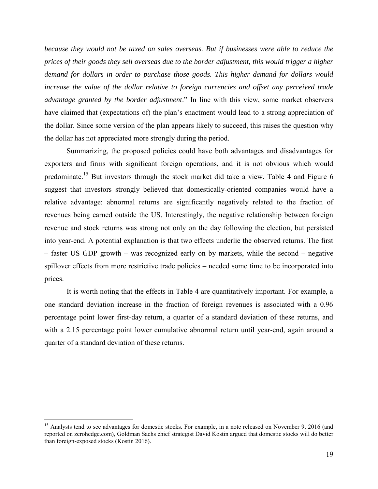*because they would not be taxed on sales overseas. But if businesses were able to reduce the prices of their goods they sell overseas due to the border adjustment, this would trigger a higher demand for dollars in order to purchase those goods. This higher demand for dollars would increase the value of the dollar relative to foreign currencies and offset any perceived trade advantage granted by the border adjustment*." In line with this view, some market observers have claimed that (expectations of) the plan's enactment would lead to a strong appreciation of the dollar. Since some version of the plan appears likely to succeed, this raises the question why the dollar has not appreciated more strongly during the period.

Summarizing, the proposed policies could have both advantages and disadvantages for exporters and firms with significant foreign operations, and it is not obvious which would predominate.<sup>15</sup> But investors through the stock market did take a view. Table 4 and Figure 6 suggest that investors strongly believed that domestically-oriented companies would have a relative advantage: abnormal returns are significantly negatively related to the fraction of revenues being earned outside the US. Interestingly, the negative relationship between foreign revenue and stock returns was strong not only on the day following the election, but persisted into year-end. A potential explanation is that two effects underlie the observed returns. The first – faster US GDP growth – was recognized early on by markets, while the second – negative spillover effects from more restrictive trade policies – needed some time to be incorporated into prices.

It is worth noting that the effects in Table 4 are quantitatively important. For example, a one standard deviation increase in the fraction of foreign revenues is associated with a 0.96 percentage point lower first-day return, a quarter of a standard deviation of these returns, and with a 2.15 percentage point lower cumulative abnormal return until year-end, again around a quarter of a standard deviation of these returns.

<sup>&</sup>lt;sup>15</sup> Analysts tend to see advantages for domestic stocks. For example, in a note released on November 9, 2016 (and reported on zerohedge.com), Goldman Sachs chief strategist David Kostin argued that domestic stocks will do better than foreign-exposed stocks (Kostin 2016).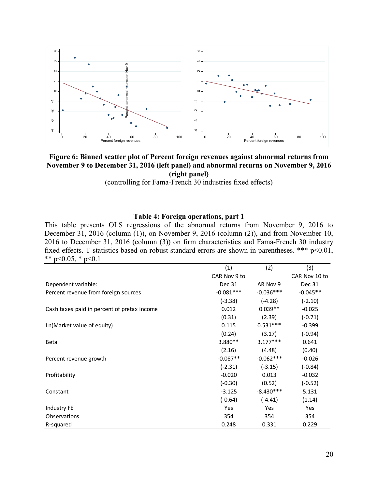

## **Figure 6: Binned scatter plot of Percent foreign revenues against abnormal returns from November 9 to December 31, 2016 (left panel) and abnormal returns on November 9, 2016 (right panel)**

(controlling for Fama-French 30 industries fixed effects)

## **Table 4: Foreign operations, part 1**

This table presents OLS regressions of the abnormal returns from November 9, 2016 to December 31, 2016 (column (1)), on November 9, 2016 (column (2)), and from November 10, 2016 to December 31, 2016 (column (3)) on firm characteristics and Fama-French 30 industry fixed effects. T-statistics based on robust standard errors are shown in parentheses. \*\*\* p<0.01, \*\* p<0.05,  $*$  p<0.1

|                                             | (1)          | (2)         | (3)           |
|---------------------------------------------|--------------|-------------|---------------|
|                                             | CAR Nov 9 to |             | CAR Nov 10 to |
| Dependent variable:                         | Dec 31       | AR Nov 9    | Dec 31        |
| Percent revenue from foreign sources        | $-0.081***$  | $-0.036***$ | $-0.045**$    |
|                                             | $(-3.38)$    | $(-4.28)$   | $(-2.10)$     |
| Cash taxes paid in percent of pretax income | 0.012        | $0.039**$   | $-0.025$      |
|                                             | (0.31)       | (2.39)      | $(-0.71)$     |
| Ln(Market value of equity)                  | 0.115        | $0.531***$  | $-0.399$      |
|                                             | (0.24)       | (3.17)      | $(-0.94)$     |
| <b>Beta</b>                                 | 3.880**      | $3.177***$  | 0.641         |
|                                             | (2.16)       | (4.48)      | (0.40)        |
| Percent revenue growth                      | $-0.087**$   | $-0.062***$ | $-0.026$      |
|                                             | $(-2.31)$    | $(-3.15)$   | $(-0.84)$     |
| Profitability                               | $-0.020$     | 0.013       | $-0.032$      |
|                                             | $(-0.30)$    | (0.52)      | $(-0.52)$     |
| Constant                                    | $-3.125$     | $-8.430***$ | 5.131         |
|                                             | $(-0.64)$    | $(-4.41)$   | (1.14)        |
| Industry FE                                 | Yes          | Yes         | Yes           |
| Observations                                | 354          | 354         | 354           |
| R-squared                                   | 0.248        | 0.331       | 0.229         |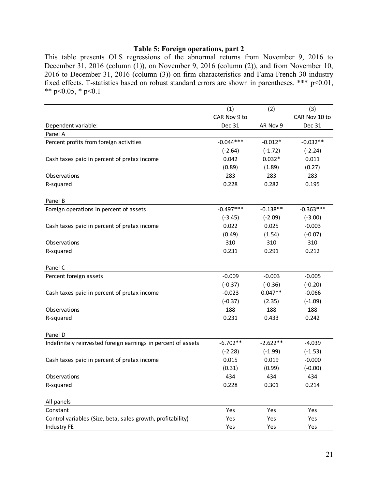## **Table 5: Foreign operations, part 2**

This table presents OLS regressions of the abnormal returns from November 9, 2016 to December 31, 2016 (column (1)), on November 9, 2016 (column (2)), and from November 10, 2016 to December 31, 2016 (column (3)) on firm characteristics and Fama-French 30 industry fixed effects. T-statistics based on robust standard errors are shown in parentheses. \*\*\* p<0.01, \*\* p<0.05, \* p<0.1

|                                                               | (1)          | (2)        | (3)           |
|---------------------------------------------------------------|--------------|------------|---------------|
|                                                               | CAR Nov 9 to |            | CAR Nov 10 to |
| Dependent variable:                                           | Dec 31       | AR Nov 9   | Dec 31        |
| Panel A                                                       |              |            |               |
| Percent profits from foreign activities                       | $-0.044***$  | $-0.012*$  | $-0.032**$    |
|                                                               | $(-2.64)$    | $(-1.72)$  | $(-2.24)$     |
| Cash taxes paid in percent of pretax income                   | 0.042        | $0.032*$   | 0.011         |
|                                                               | (0.89)       | (1.89)     | (0.27)        |
| Observations                                                  | 283          | 283        | 283           |
| R-squared                                                     | 0.228        | 0.282      | 0.195         |
| Panel B                                                       |              |            |               |
| Foreign operations in percent of assets                       | $-0.497***$  | $-0.138**$ | $-0.363***$   |
|                                                               | $(-3.45)$    | $(-2.09)$  | $(-3.00)$     |
| Cash taxes paid in percent of pretax income                   | 0.022        | 0.025      | $-0.003$      |
|                                                               | (0.49)       | (1.54)     | $(-0.07)$     |
| Observations                                                  | 310          | 310        | 310           |
| R-squared                                                     | 0.231        | 0.291      | 0.212         |
| Panel C                                                       |              |            |               |
| Percent foreign assets                                        | $-0.009$     | $-0.003$   | $-0.005$      |
|                                                               | $(-0.37)$    | $(-0.36)$  | $(-0.20)$     |
| Cash taxes paid in percent of pretax income                   | $-0.023$     | $0.047**$  | $-0.066$      |
|                                                               | $(-0.37)$    | (2.35)     | $(-1.09)$     |
| Observations                                                  | 188          | 188        | 188           |
| R-squared                                                     | 0.231        | 0.433      | 0.242         |
| Panel D                                                       |              |            |               |
| Indefinitely reinvested foreign earnings in percent of assets | $-6.702**$   | $-2.622**$ | $-4.039$      |
|                                                               | $(-2.28)$    | $(-1.99)$  | $(-1.53)$     |
| Cash taxes paid in percent of pretax income                   | 0.015        | 0.019      | $-0.000$      |
|                                                               | (0.31)       | (0.99)     | $(-0.00)$     |
| Observations                                                  | 434          | 434        | 434           |
| R-squared                                                     | 0.228        | 0.301      | 0.214         |
| All panels                                                    |              |            |               |
| Constant                                                      | Yes          | Yes        | Yes           |
| Control variables (Size, beta, sales growth, profitability)   | Yes          | Yes        | Yes           |
| Industry FE                                                   | Yes          | Yes        | Yes           |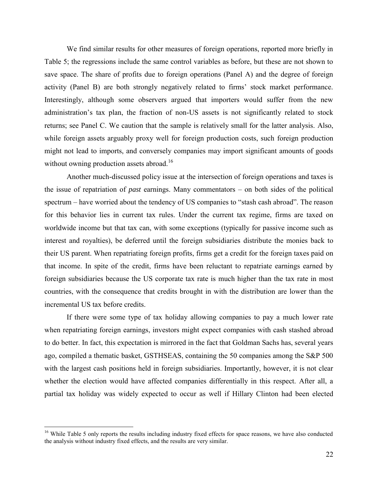We find similar results for other measures of foreign operations, reported more briefly in Table 5; the regressions include the same control variables as before, but these are not shown to save space. The share of profits due to foreign operations (Panel A) and the degree of foreign activity (Panel B) are both strongly negatively related to firms' stock market performance. Interestingly, although some observers argued that importers would suffer from the new administration's tax plan, the fraction of non-US assets is not significantly related to stock returns; see Panel C. We caution that the sample is relatively small for the latter analysis. Also, while foreign assets arguably proxy well for foreign production costs, such foreign production might not lead to imports, and conversely companies may import significant amounts of goods without owning production assets abroad.<sup>16</sup>

Another much-discussed policy issue at the intersection of foreign operations and taxes is the issue of repatriation of *past* earnings. Many commentators – on both sides of the political spectrum – have worried about the tendency of US companies to "stash cash abroad". The reason for this behavior lies in current tax rules. Under the current tax regime, firms are taxed on worldwide income but that tax can, with some exceptions (typically for passive income such as interest and royalties), be deferred until the foreign subsidiaries distribute the monies back to their US parent. When repatriating foreign profits, firms get a credit for the foreign taxes paid on that income. In spite of the credit, firms have been reluctant to repatriate earnings earned by foreign subsidiaries because the US corporate tax rate is much higher than the tax rate in most countries, with the consequence that credits brought in with the distribution are lower than the incremental US tax before credits.

If there were some type of tax holiday allowing companies to pay a much lower rate when repatriating foreign earnings, investors might expect companies with cash stashed abroad to do better. In fact, this expectation is mirrored in the fact that Goldman Sachs has, several years ago, compiled a thematic basket, GSTHSEAS, containing the 50 companies among the S&P 500 with the largest cash positions held in foreign subsidiaries. Importantly, however, it is not clear whether the election would have affected companies differentially in this respect. After all, a partial tax holiday was widely expected to occur as well if Hillary Clinton had been elected

<sup>&</sup>lt;sup>16</sup> While Table 5 only reports the results including industry fixed effects for space reasons, we have also conducted the analysis without industry fixed effects, and the results are very similar.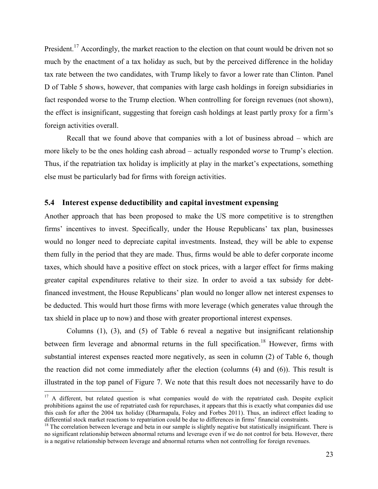President.<sup>17</sup> Accordingly, the market reaction to the election on that count would be driven not so much by the enactment of a tax holiday as such, but by the perceived difference in the holiday tax rate between the two candidates, with Trump likely to favor a lower rate than Clinton. Panel D of Table 5 shows, however, that companies with large cash holdings in foreign subsidiaries in fact responded worse to the Trump election. When controlling for foreign revenues (not shown), the effect is insignificant, suggesting that foreign cash holdings at least partly proxy for a firm's foreign activities overall.

Recall that we found above that companies with a lot of business abroad – which are more likely to be the ones holding cash abroad – actually responded *worse* to Trump's election. Thus, if the repatriation tax holiday is implicitly at play in the market's expectations, something else must be particularly bad for firms with foreign activities.

#### **5.4 Interest expense deductibility and capital investment expensing**

Another approach that has been proposed to make the US more competitive is to strengthen firms' incentives to invest. Specifically, under the House Republicans' tax plan, businesses would no longer need to depreciate capital investments. Instead, they will be able to expense them fully in the period that they are made. Thus, firms would be able to defer corporate income taxes, which should have a positive effect on stock prices, with a larger effect for firms making greater capital expenditures relative to their size. In order to avoid a tax subsidy for debtfinanced investment, the House Republicans' plan would no longer allow net interest expenses to be deducted. This would hurt those firms with more leverage (which generates value through the tax shield in place up to now) and those with greater proportional interest expenses.

Columns (1), (3), and (5) of Table 6 reveal a negative but insignificant relationship between firm leverage and abnormal returns in the full specification.<sup>18</sup> However, firms with substantial interest expenses reacted more negatively, as seen in column (2) of Table 6, though the reaction did not come immediately after the election (columns (4) and (6)). This result is illustrated in the top panel of Figure 7. We note that this result does not necessarily have to do

<sup>&</sup>lt;sup>17</sup> A different, but related question is what companies would do with the repatriated cash. Despite explicit prohibitions against the use of repatriated cash for repurchases, it appears that this is exactly what companies did use this cash for after the 2004 tax holiday (Dharmapala, Foley and Forbes 2011). Thus, an indirect effect leading to differential stock market reactions to repatriation could be due to differences in firms' financial constraints.

 $18$  The correlation between leverage and beta in our sample is slightly negative but statistically insignificant. There is no significant relationship between abnormal returns and leverage even if we do not control for beta. However, there is a negative relationship between leverage and abnormal returns when not controlling for foreign revenues.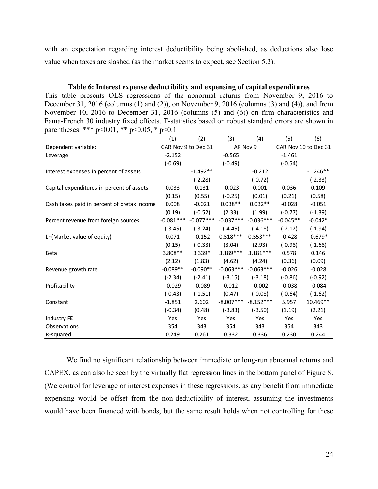with an expectation regarding interest deductibility being abolished, as deductions also lose value when taxes are slashed (as the market seems to expect, see Section 5.2).

#### **Table 6: Interest expense deductibility and expensing of capital expenditures**

This table presents OLS regressions of the abnormal returns from November 9, 2016 to December 31, 2016 (columns (1) and (2)), on November 9, 2016 (columns (3) and (4)), and from December 31, 2010 (columns (1) and (2)), on November 9, 2010 (columns (3) and (4)), and nonn<br>
November 10, 2016 to December 31, 2016 (columns (5) and (6)) on firm characteristics and<br>
Fama-French 30 industry fixed effects Fama-French 30 industry fixed effects. T-statistics based on robust standard errors are shown in parentheses. \*\*\*  $p<0.01$ , \*\*  $p<0.05$ , \*  $p<0.1$ 

|                                             | (1)                 | (2)         | (3)         | (4)         | (5)        | (6)                  |
|---------------------------------------------|---------------------|-------------|-------------|-------------|------------|----------------------|
| Dependent variable:                         | CAR Nov 9 to Dec 31 |             | AR Nov 9    |             |            | CAR Nov 10 to Dec 31 |
| Leverage                                    | $-2.152$            |             | $-0.565$    |             | $-1.461$   |                      |
|                                             | $(-0.69)$           |             | $(-0.49)$   |             | $(-0.54)$  |                      |
| Interest expenses in percent of assets      |                     | $-1.492**$  |             | $-0.212$    |            | $-1.246**$           |
|                                             |                     | $(-2.28)$   |             | $(-0.72)$   |            | $(-2.33)$            |
| Capital expenditures in percent of assets   | 0.033               | 0.131       | $-0.023$    | 0.001       | 0.036      | 0.109                |
|                                             | (0.15)              | (0.55)      | $(-0.25)$   | (0.01)      | (0.21)     | (0.58)               |
| Cash taxes paid in percent of pretax income | 0.008               | $-0.021$    | $0.038**$   | $0.032**$   | $-0.028$   | $-0.051$             |
|                                             | (0.19)              | $(-0.52)$   | (2.33)      | (1.99)      | $(-0.77)$  | $(-1.39)$            |
| Percent revenue from foreign sources        | $-0.081***$         | $-0.077***$ | $-0.037***$ | $-0.036***$ | $-0.045**$ | $-0.042*$            |
|                                             | $(-3.45)$           | $(-3.24)$   | $(-4.45)$   | $(-4.18)$   | $(-2.12)$  | $(-1.94)$            |
| Ln(Market value of equity)                  | 0.071               | $-0.152$    | $0.518***$  | $0.553***$  | $-0.428$   | $-0.679*$            |
|                                             | (0.15)              | $(-0.33)$   | (3.04)      | (2.93)      | $(-0.98)$  | $(-1.68)$            |
| Beta                                        | 3.808 **            | 3.339*      | $3.189***$  | $3.181***$  | 0.578      | 0.146                |
|                                             | (2.12)              | (1.83)      | (4.62)      | (4.24)      | (0.36)     | (0.09)               |
| Revenue growth rate                         | $-0.089**$          | $-0.090**$  | $-0.063***$ | $-0.063***$ | $-0.026$   | $-0.028$             |
|                                             | $(-2.34)$           | $(-2.41)$   | $(-3.15)$   | $(-3.18)$   | $(-0.86)$  | $(-0.92)$            |
| Profitability                               | $-0.029$            | $-0.089$    | 0.012       | $-0.002$    | $-0.038$   | $-0.084$             |
|                                             | $(-0.43)$           | $(-1.51)$   | (0.47)      | $(-0.08)$   | $(-0.64)$  | $(-1.62)$            |
| Constant                                    | $-1.851$            | 2.602       | $-8.007***$ | $-8.152***$ | 5.957      | 10.469**             |
|                                             | $(-0.34)$           | (0.48)      | $(-3.83)$   | $(-3.50)$   | (1.19)     | (2.21)               |
| Industry FE                                 | Yes                 | Yes         | Yes         | Yes         | Yes        | Yes                  |
| Observations                                | 354                 | 343         | 354         | 343         | 354        | 343                  |
| R-squared                                   | 0.249               | 0.261       | 0.332       | 0.336       | 0.230      | 0.244                |
|                                             |                     |             |             |             |            |                      |

We find no significant relationship between immediate or long-run abnormal returns and CAPEX, as can also be seen by the virtually flat regression lines in the bottom panel of Figure 8. (We control for leverage or interest expenses in these regressions, as any benefit from immediate expensing would be offset from the non-deductibility of interest, assuming the investments would have been financed with bonds, but the same result holds when not controlling for these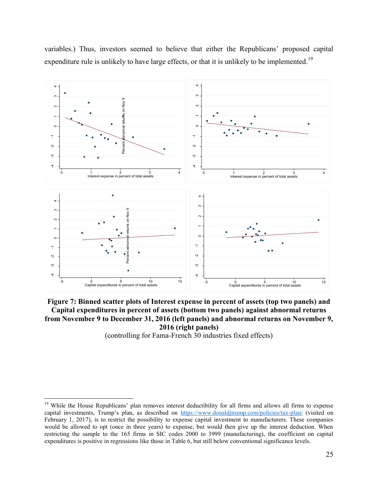

variables.) Thus, investors seemed to believe that either the Republicans' proposed capital expenditure rule is unlikely to have large effects, or that it is unlikely to be implemented.<sup>19</sup>

**Figure 7: Binned scatter plots of Interest expense in percent of assets (top two panels) and Capital expenditures in percent of assets (bottom two panels) against abnormal returns from November 9 to December 31, 2016 (left panels) and abnormal returns on November 9, 2016 (right panels)** 

(controlling for Fama-French 30 industries fixed effects)

<sup>&</sup>lt;sup>19</sup> While the House Republicans' plan removes interest deductibility for all firms and allows all firms to expense capital investments, Trump's plan, as described on <https://www.donaldjtrump.com/policies/tax-plan/>(visited on February 1, 2017), is to restrict the possibility to expense capital investment to manufacturers. These companies would be allowed to opt (once in three years) to expense, but would then give up the interest deduction. When restricting the sample to the 165 firms in SIC codes 2000 to 3999 (manufacturing), the coefficient on capital expenditures is positive in regressions like those in Table 6, but still below conventional significance levels.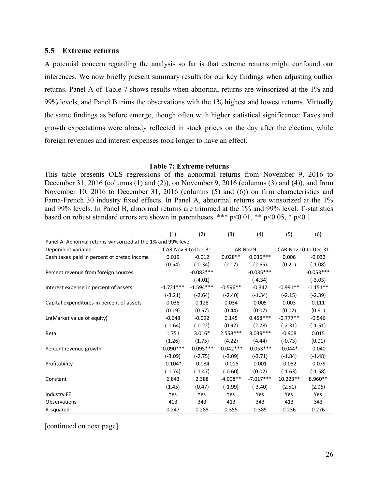### **5.5 Extreme returns**

A potential concern regarding the analysis so far is that extreme returns might confound our inferences. We now briefly present summary results for our key findings when adjusting outlier returns. Panel A of Table 7 shows results when abnormal returns are winsorized at the 1% and 99% levels, and Panel B trims the observations with the 1% highest and lowest returns. Virtually the same findings as before emerge, though often with higher statistical significance: Taxes and growth expectations were already reflected in stock prices on the day after the election, while foreign revenues and interest expenses took longer to have an effect.

#### **Table 7: Extreme returns**

This table presents OLS regressions of the abnormal returns from November 9, 2016 to December 31, 2016 (columns (1) and (2)), on November 9, 2016 (columns (3) and (4)), and from November 10, 2016 to December 31, 2016 (columns (5) and (6)) on firm characteristics and Fama-French 30 industry fixed effects. In Panel A, abnormal returns are winsorized at the 1% and 99% levels. In Panel B, abnormal returns are trimmed at the 1% and 99% level. T-statistics based on robust standard errors are shown in parentheses. \*\*\*  $p<0.01$ , \*\*  $p<0.05$ , \*  $p<0.1$ The A, absorbed at the 1% and 99% level. T-statis<br>
in parentheses. \*\*\*  $p<0.01$ , \*\*  $p<0.05$ , \*  $p<0.1$ <br>
(1) (2) (3) (4) (5) (6)

|                                                              | (1)                 | (2)         | (3)         | (4)         | (5)                  | (6)         |
|--------------------------------------------------------------|---------------------|-------------|-------------|-------------|----------------------|-------------|
| Panel A: Abnormal returns winsorized at the 1% and 99% level |                     |             |             |             |                      |             |
| Dependent variable:                                          | CAR Nov 9 to Dec 31 |             |             | AR Nov 9    | CAR Nov 10 to Dec 31 |             |
| Cash taxes paid in percent of pretax income                  | 0.019               | $-0.012$    | $0.028**$   | $0.036***$  | 0.006                | $-0.032$    |
|                                                              | (0.54)              | $(-0.34)$   | (2.17)      | (2.65)      | (0.21)               | $(-1.08)$   |
| Percent revenue from foreign sources                         |                     | $-0.083***$ |             | $-0.035***$ |                      | $-0.053***$ |
|                                                              |                     | $(-4.01)$   |             | $(-4.34)$   |                      | $(-3.03)$   |
| Interest expense in percent of assets                        | $-1.721***$         | $-1.594***$ | $-0.596**$  | $-0.342$    | $-0.991**$           | $-1.151**$  |
|                                                              | $(-3.21)$           | $(-2.64)$   | $(-2.40)$   | $(-1.34)$   | $(-2.15)$            | $(-2.39)$   |
| Capital expenditures in percent of assets                    | 0.038               | 0.128       | 0.034       | 0.005       | 0.003                | 0.111       |
|                                                              | (0.19)              | (0.57)      | (0.44)      | (0.07)      | (0.02)               | (0.61)      |
| Ln(Market value of equity)                                   | $-0.648$            | $-0.092$    | 0.145       | $0.458***$  | $-0.777**$           | $-0.546$    |
|                                                              | $(-1.64)$           | $(-0.22)$   | (0.92)      | (2.78)      | $(-2.31)$            | $(-1.51)$   |
| <b>Beta</b>                                                  | 1.751               | $3.016*$    | $2.558***$  | $3.039***$  | $-0.908$             | 0.015       |
|                                                              | (1.26)              | (1.75)      | (4.22)      | (4.44)      | $(-0.73)$            | (0.01)      |
| Percent revenue growth                                       | $-0.090***$         | $-0.095***$ | $-0.042***$ | $-0.053***$ | $-0.044*$            | $-0.040$    |
|                                                              | $(-3.09)$           | $(-2.75)$   | $(-3.09)$   | $(-3.71)$   | $(-1.84)$            | $(-1.48)$   |
| Profitability                                                | $-0.104*$           | $-0.084$    | $-0.016$    | 0.001       | $-0.082$             | $-0.079$    |
|                                                              | $(-1.74)$           | $(-1.47)$   | $(-0.60)$   | (0.02)      | $(-1.63)$            | $(-1.58)$   |
| Constant                                                     | 6.843               | 2.388       | $-4.008**$  | $-7.017***$ | $10.223**$           | 8.960**     |
|                                                              | (1.45)              | (0.47)      | $(-1.99)$   | $(-3.40)$   | (2.51)               | (2.06)      |
| Industry FE                                                  | Yes                 | Yes         | Yes         | Yes         | Yes                  | Yes         |
| Observations                                                 | 413                 | 343         | 413         | 343         | 413                  | 343         |
| R-squared                                                    | 0.247               | 0.288       | 0.355       | 0.385       | 0.236                | 0.276       |

[continued on next page]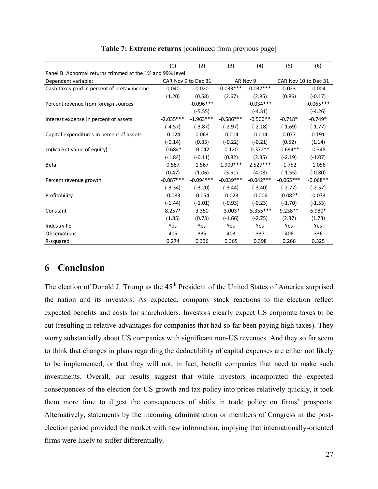|                                                           | (1)         | (2)                 | (3)         | (4)         | (5)                  | (6)         |
|-----------------------------------------------------------|-------------|---------------------|-------------|-------------|----------------------|-------------|
| Panel B: Abnormal returns trimmed at the 1% and 99% level |             |                     |             |             |                      |             |
| Dependent variable:                                       |             | CAR Nov 9 to Dec 31 |             | AR Nov 9    | CAR Nov 10 to Dec 31 |             |
| Cash taxes paid in percent of pretax income               | 0.040       | 0.020               | $0.033***$  | $0.037***$  | 0.023                | $-0.004$    |
|                                                           | (1.20)      | (0.58)              | (2.67)      | (2.85)      | (0.86)               | $(-0.17)$   |
| Percent revenue from foreign sources                      |             | $-0.096***$         |             | $-0.034***$ |                      | $-0.065***$ |
|                                                           |             | $(-5.55)$           |             | $(-4.31)$   |                      | $(-4.26)$   |
| Interest expense in percent of assets                     | $-2.035***$ | $-1.963***$         | $-0.586***$ | $-0.500**$  | $-0.718*$            | $-0.749*$   |
|                                                           | $(-4.57)$   | $(-3.87)$           | $(-2.97)$   | $(-2.18)$   | $(-1.69)$            | $(-1.77)$   |
| Capital expenditures in percent of assets                 | $-0.024$    | 0.063               | $-0.014$    | $-0.014$    | 0.077                | 0.191       |
|                                                           | $(-0.14)$   | (0.33)              | $(-0.22)$   | $(-0.21)$   | (0.52)               | (1.14)      |
| Ln(Market value of equity)                                | $-0.684*$   | $-0.042$            | 0.120       | $0.372**$   | $-0.694**$           | $-0.348$    |
|                                                           | $(-1.84)$   | $(-0.11)$           | (0.82)      | (2.35)      | $(-2.19)$            | $(-1.07)$   |
| <b>Beta</b>                                               | 0.587       | 1.567               | $1.909***$  | $2.527***$  | $-1.752$             | $-1.056$    |
|                                                           | (0.47)      | (1.06)              | (3.51)      | (4.08)      | $(-1.55)$            | $(-0.80)$   |
| Percent revenue growth                                    | $-0.087***$ | $-0.094***$         | $-0.039***$ | $-0.042***$ | $-0.065***$          | $-0.068**$  |
|                                                           | $(-3.34)$   | $(-3.20)$           | $(-3.44)$   | $(-3.40)$   | $(-2.77)$            | $(-2.57)$   |
| Profitability                                             | $-0.083$    | $-0.054$            | $-0.023$    | $-0.006$    | $-0.082*$            | $-0.073$    |
|                                                           | $(-1.44)$   | $(-1.01)$           | $(-0.93)$   | $(-0.23)$   | $(-1.70)$            | $(-1.53)$   |
| Constant                                                  | $8.257*$    | 3.350               | $-3.003*$   | $-5.355***$ | $9.238**$            | 6.980*      |
|                                                           | (1.85)      | (0.73)              | $(-1.66)$   | $(-2.75)$   | (2.37)               | (1.73)      |
| Industry FE                                               | Yes         | Yes                 | Yes         | Yes         | Yes                  | Yes         |
| Observations                                              | 405         | 335                 | 403         | 337         | 406                  | 336         |
| R-squared                                                 | 0.274       | 0.336               | 0.365       | 0.398       | 0.266                | 0.325       |

## **Table 7: Extreme returns** [continued from previous page]

# **6 Conclusion**

The election of Donald J. Trump as the 45<sup>th</sup> President of the United States of America surprised the nation and its investors. As expected, company stock reactions to the election reflect expected benefits and costs for shareholders. Investors clearly expect US corporate taxes to be cut (resulting in relative advantages for companies that had so far been paying high taxes). They worry substantially about US companies with significant non-US revenues. And they so far seem to think that changes in plans regarding the deductibility of capital expenses are either not likely to be implemented, or that they will not, in fact, benefit companies that need to make such investments. Overall, our results suggest that while investors incorporated the expected consequences of the election for US growth and tax policy into prices relatively quickly, it took them more time to digest the consequences of shifts in trade policy on firms' prospects. Alternatively, statements by the incoming administration or members of Congress in the postelection period provided the market with new information, implying that internationally-oriented firms were likely to suffer differentially.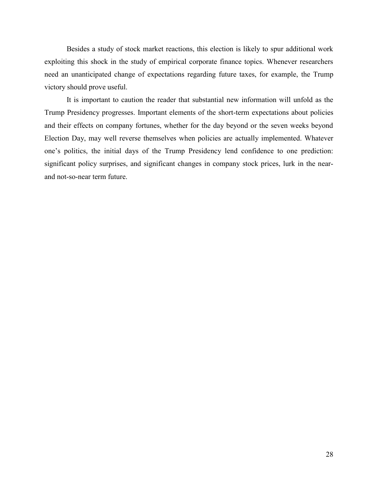Besides a study of stock market reactions, this election is likely to spur additional work exploiting this shock in the study of empirical corporate finance topics. Whenever researchers need an unanticipated change of expectations regarding future taxes, for example, the Trump victory should prove useful.

It is important to caution the reader that substantial new information will unfold as the Trump Presidency progresses. Important elements of the short-term expectations about policies and their effects on company fortunes, whether for the day beyond or the seven weeks beyond Election Day, may well reverse themselves when policies are actually implemented. Whatever one's politics, the initial days of the Trump Presidency lend confidence to one prediction: significant policy surprises, and significant changes in company stock prices, lurk in the nearand not-so-near term future.